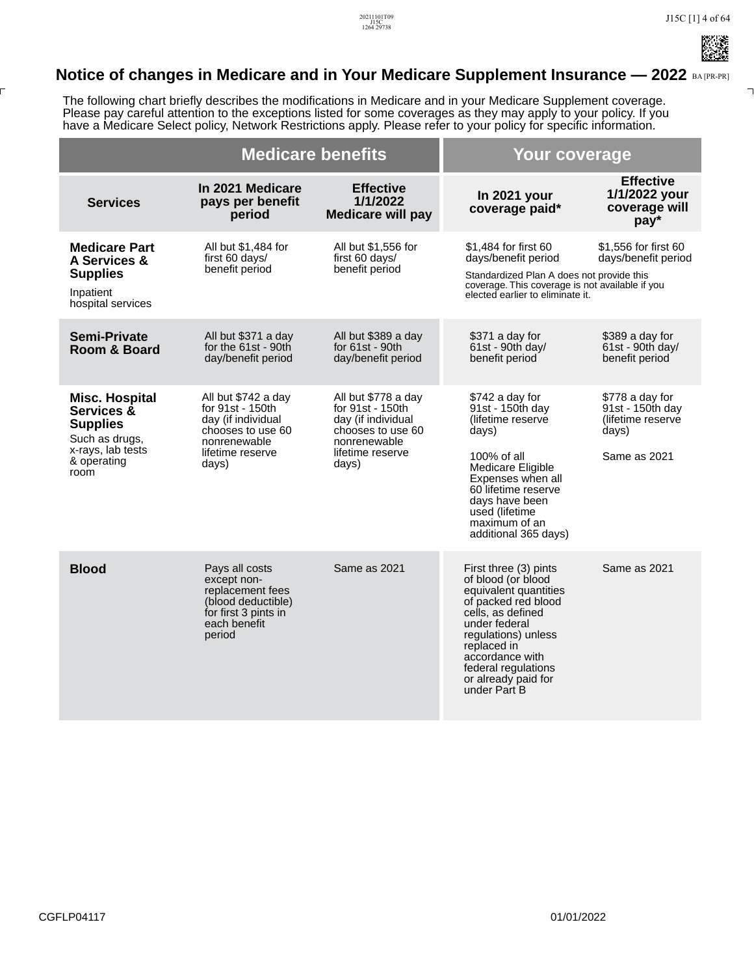## **Notice of changes in Medicare and in Your Medicare Supplement Insurance — 2022 BA [PR-PR]**

The following chart briefly describes the modifications in Medicare and in your Medicare Supplement coverage. Please pay careful attention to the exceptions listed for some coverages as they may apply to your policy. If you have a Medicare Select policy, Network Restrictions apply. Please refer to your policy for specific information.

|                                                                                                                      | <b>Medicare benefits</b>                                                                                                        |                                                                                                                                 | Your coverage                                                                                                                                                                                                                                            |                                                                                   |
|----------------------------------------------------------------------------------------------------------------------|---------------------------------------------------------------------------------------------------------------------------------|---------------------------------------------------------------------------------------------------------------------------------|----------------------------------------------------------------------------------------------------------------------------------------------------------------------------------------------------------------------------------------------------------|-----------------------------------------------------------------------------------|
| <b>Services</b>                                                                                                      | In 2021 Medicare<br>pays per benefit<br>period                                                                                  | <b>Effective</b><br>1/1/2022<br><b>Medicare will pay</b>                                                                        | In 2021 your<br>coverage paid*                                                                                                                                                                                                                           | <b>Effective</b><br>1/1/2022 your<br>coverage will<br>pay*                        |
| <b>Medicare Part</b><br>A Services &<br><b>Supplies</b><br>Inpatient<br>hospital services                            | All but \$1,484 for<br>first 60 days/<br>benefit period                                                                         | All but \$1,556 for<br>first 60 days/<br>benefit period                                                                         | \$1,484 for first 60<br>days/benefit period<br>Standardized Plan A does not provide this<br>coverage. This coverage is not available if you<br>elected earlier to eliminate it.                                                                          | \$1.556 for first 60<br>days/benefit period                                       |
| <b>Semi-Private</b><br>Room & Board                                                                                  | All but \$371 a day<br>for the 61st - 90th<br>day/benefit period                                                                | All but \$389 a day<br>for 61st - 90th<br>day/benefit period                                                                    | \$371 a day for<br>61st - 90th day/<br>benefit period                                                                                                                                                                                                    | \$389 a day for<br>$61st - 90th$ day/<br>benefit period                           |
| <b>Misc. Hospital</b><br>Services &<br><b>Supplies</b><br>Such as drugs,<br>x-rays, lab tests<br>& operating<br>room | All but \$742 a day<br>for 91st - 150th<br>day (if individual<br>chooses to use 60<br>nonrenewable<br>lifetime reserve<br>days) | All but \$778 a day<br>for 91st - 150th<br>day (if individual<br>chooses to use 60<br>nonrenewable<br>lifetime reserve<br>days) | \$742 a day for<br>91st - 150th dav<br>(lifetime reserve<br>days)<br>100% of all<br>Medicare Eligible<br>Expenses when all<br>60 lifetime reserve<br>days have been<br>used (lifetime<br>maximum of an<br>additional 365 days)                           | \$778 a day for<br>91st - 150th dav<br>(lifetime reserve<br>days)<br>Same as 2021 |
| <b>Blood</b>                                                                                                         | Pays all costs<br>except non-<br>replacement fees<br>(blood deductible)<br>for first 3 pints in<br>each benefit<br>period       | Same as 2021                                                                                                                    | First three (3) pints<br>of blood (or blood<br>equivalent quantities<br>of packed red blood<br>cells, as defined<br>under federal<br>regulations) unless<br>replaced in<br>accordance with<br>federal regulations<br>or already paid for<br>under Part B | Same as 2021                                                                      |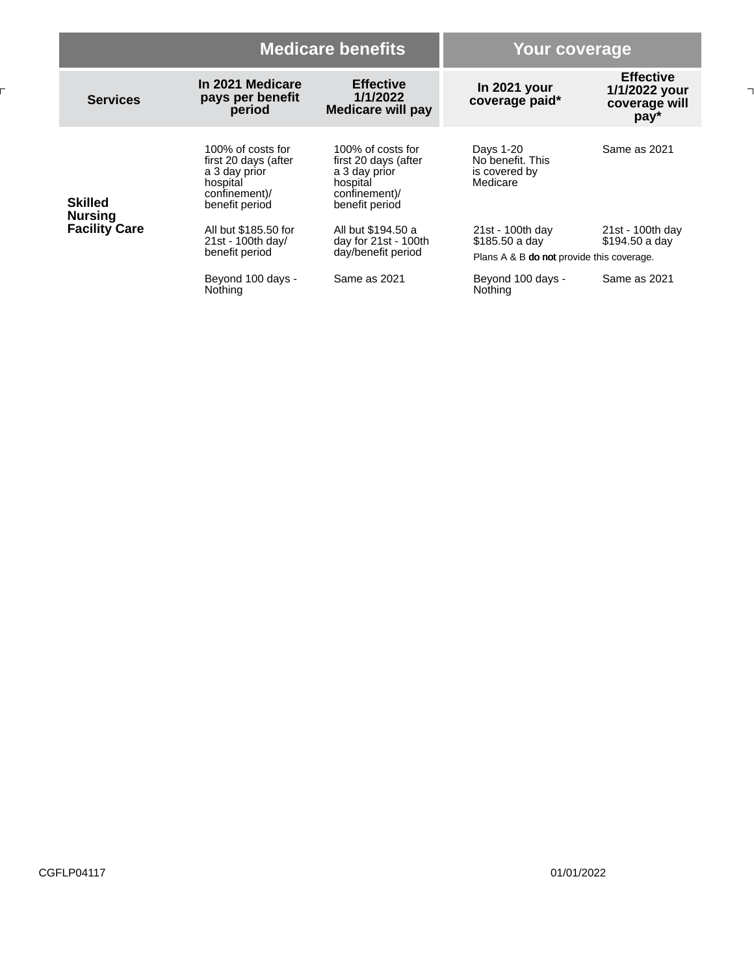|                                                          |                                                                                                           | <b>Medicare benefits</b>                                                                                  |                                                                                 | Your coverage                                                |  |
|----------------------------------------------------------|-----------------------------------------------------------------------------------------------------------|-----------------------------------------------------------------------------------------------------------|---------------------------------------------------------------------------------|--------------------------------------------------------------|--|
| <b>Services</b>                                          | In 2021 Medicare<br>pays per benefit<br>period                                                            | <b>Effective</b><br>1/1/2022<br><b>Medicare will pay</b>                                                  | In 2021 your<br>coverage paid*                                                  | <b>Effective</b><br>1/1/2022 your<br>coverage will<br>$pay*$ |  |
| <b>Skilled</b><br><b>Nursing</b><br><b>Facility Care</b> | 100% of costs for<br>first 20 days (after<br>a 3 day prior<br>hospital<br>confinement)/<br>benefit period | 100% of costs for<br>first 20 days (after<br>a 3 day prior<br>hospital<br>confinement)/<br>benefit period | Days 1-20<br>No benefit. This<br>is covered by<br>Medicare                      | Same as 2021                                                 |  |
|                                                          | All but \$185.50 for<br>21st - 100th day/<br>benefit period                                               | All but \$194.50 a<br>day for $21st - 100th$<br>day/benefit period                                        | 21st - 100th day<br>\$185.50 a day<br>Plans A & B do not provide this coverage. | 21st - 100th day<br>\$194.50 a day                           |  |
|                                                          | Beyond 100 days -<br>Nothing                                                                              | Same as 2021                                                                                              | Beyond 100 days -<br>Nothing                                                    | Same as 2021                                                 |  |

F